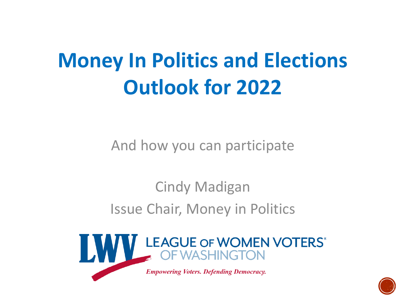### **Money In Politics and Elections Outlook for 2022**

And how you can participate

Cindy Madigan Issue Chair, Money in Politics



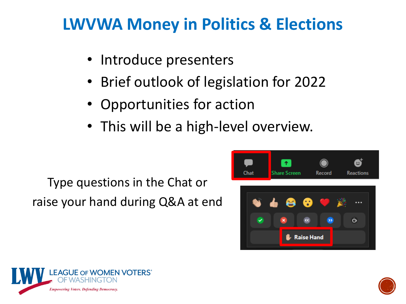#### **LWVWA Money in Politics & Elections**

- Introduce presenters
- Brief outlook of legislation for 2022
- Opportunities for action
- This will be a high-level overview.

Type questions in the Chat or raise your hand during Q&A at end





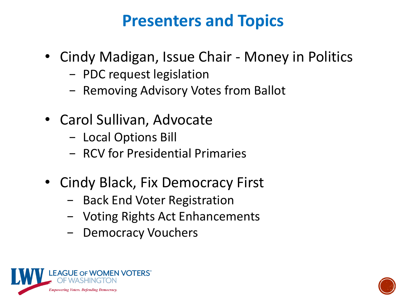#### **Presenters and Topics**

- Cindy Madigan, Issue Chair Money in Politics
	- − PDC request legislation
	- − Removing Advisory Votes from Ballot
- Carol Sullivan, Advocate
	- − Local Options Bill
	- − RCV for Presidential Primaries
- Cindy Black, Fix Democracy First
	- − Back End Voter Registration
	- − Voting Rights Act Enhancements
	- − Democracy Vouchers



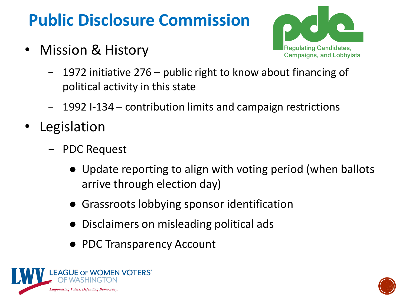### **Public Disclosure Commission**

• Mission & History



- − 1972 initiative 276 public right to know about financing of political activity in this state
- − 1992 I-134 contribution limits and campaign restrictions
- **Legislation** 
	- − PDC Request
		- Update reporting to align with voting period (when ballots arrive through election day)
		- **Grassroots lobbying sponsor identification**
		- Disclaimers on misleading political ads
		- PDC Transparency Account



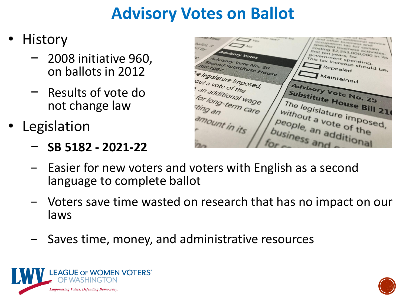#### **Advisory Votes on Ballot**

- History
	- − 2008 initiative 960, on ballots in 2012
	- − Results of vote do not change law
- Legislation
	- − **SB 5182 - 2021-22**

tax for certain specified business extrain<br>rat ten y2.253,000,000 in its<br>ist ten years, for<br>is triment so first ten years, 000<br>Jovernments, for Advisory Votes government spending.<br>This tax increase ding. government spending.<br>This tax increase should be:<br>Repealed tisory Vote No. 20 cond Substitute House the legislature imposed, Maintained out a vote of the Advisory Vote No. 25 a vote of the<br>an additional wage Substitute House Bill 21 for long-term care The legislature imposed, sting an without a vote of the amount in its people, an additional business and

- Easier for new voters and voters with English as a second language to complete ballot
- − Voters save time wasted on research that has no impact on our laws
- Saves time, money, and administrative resources



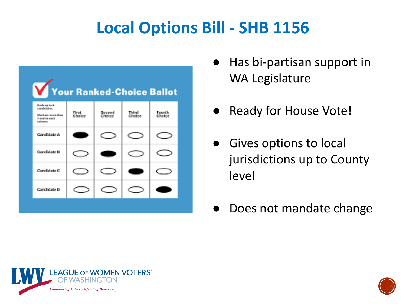#### **Local Options Bill - SHB 1156**

| Your Ranked-Choice Ballot                                                             |                  |                  |                 |                  |
|---------------------------------------------------------------------------------------|------------------|------------------|-----------------|------------------|
| frank up to 4.<br>condidates.<br>Mark as were then<br>5 percent in earch.<br>rations. | First.<br>Ghoine | Second<br>Chains | Third<br>Chaine | Fourth<br>Chaine |
| Caradiciate &                                                                         |                  |                  |                 |                  |
| Candidate R                                                                           |                  |                  |                 |                  |
| Candidate C.                                                                          |                  |                  |                 |                  |
| Candidate D                                                                           |                  |                  |                 |                  |
|                                                                                       |                  |                  |                 |                  |

- Has bi-partisan support in WA Legislature
- Ready for House Vote!
- Gives options to local jurisdictions up to County level
- Does not mandate change



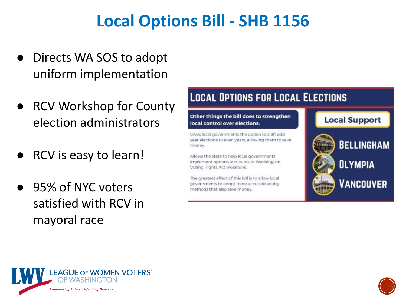#### **Local Options Bill - SHB 1156**

- Directs WA SOS to adopt uniform implementation
- RCV Workshop for County election administrators
- **RCV** is easy to learn!
- 95% of NYC voters satisfied with RCV in mayoral race

#### **LOCAL OPTIONS FOR LOCAL ELECTIONS** Other things the bill does to strengthen **Local Support** local control over elections:

Gives local governments the option to shift odd year elections to even years, allowing them to save money.

Allows the state to help local governments implement options and cures to Washington Voting Rights Act Violations.

The greatest effect of this bill is to allow local governments to adopt more accurate voting methods that also save money.





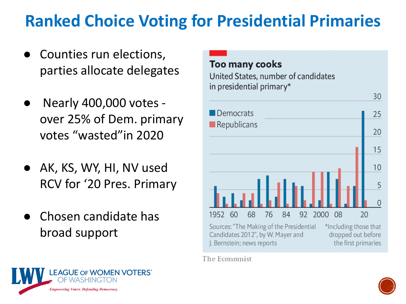#### **Ranked Choice Voting for Presidential Primaries**

- Counties run elections, parties allocate delegates
- Nearly 400,000 votes over 25% of Dem. primary votes "wasted"in 2020
- AK, KS, WY, HI, NV used RCV for '20 Pres. Primary
- Chosen candidate has broad support



The Economist



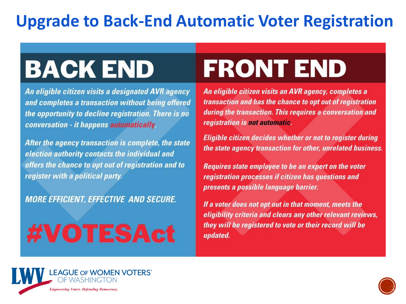#### **Upgrade to Back-End Automatic Voter Registration**

### **BACK END**

An eligible citizen visits a designated AVR agency and completes a transaction without being offered the opportunity to decline registration. There is no conversation - it happens automatically.

After the agency transaction is complete, the state election authority contacts the individual and offers the chance to opt out of registration and to register with a political party.

**MORE EFFICIENT, EFFECTIVE AND SECURE.** 

# #VOTESAct

# **FRONT END**

**An eligible citizen visits an AVR agency, completes a** transaction and has the chance to opt out of registration during the transaction. This requires a conversation and registration is not automatic.

Eligible citizen decides whether or not to register during the state agency transaction for other, unrelated business.

**Raelene Gold Sherri Dysart** presents a possible language barrier.

If a voter does not opt out in that moment, meets the *Committy criteria and clears any other relevant reviews,***<br>they will be registered to vote or their record will be** updated.



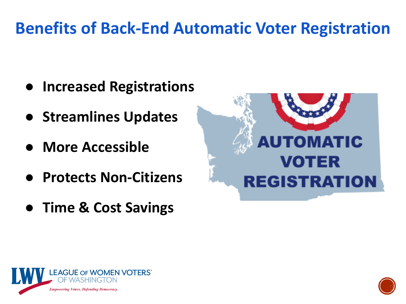#### **Benefits of Back-End Automatic Voter Registration**

- **Increased Registrations**
- **Streamlines Updates**
- **More Accessible**
- **Protects Non-Citizens**
- **Time & Cost Savings**





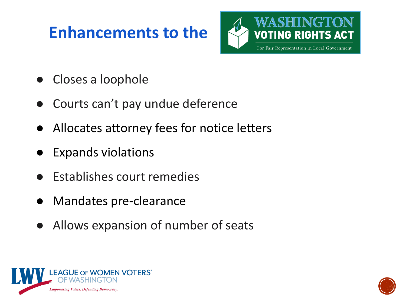#### **Enhancements to the**



- Closes a loophole
- Courts can't pay undue deference
- Allocates attorney fees for notice letters
- **Expands violations**
- **Establishes court remedies**
- Mandates pre-clearance
- Allows expansion of number of seats



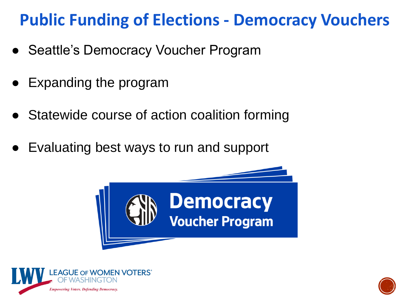#### **Public Funding of Elections - Democracy Vouchers**

- Seattle's Democracy Voucher Program
- Expanding the program
- Statewide course of action coalition forming
- Evaluating best ways to run and support





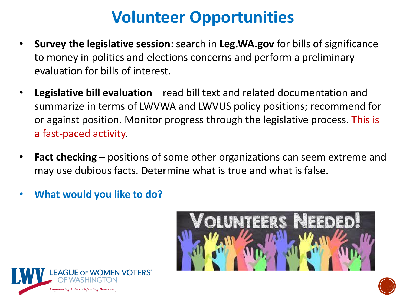#### **Volunteer Opportunities**

- **Survey the legislative session**: search in **Leg.WA.gov** for bills of significance to money in politics and elections concerns and perform a preliminary evaluation for bills of interest.
- **Legislative bill evaluation** read bill text and related documentation and summarize in terms of LWVWA and LWVUS policy positions; recommend for or against position. Monitor progress through the legislative process. This is a fast-paced activity.
- **Fact checking** positions of some other organizations can seem extreme and may use dubious facts. Determine what is true and what is false.
- **What would you like to do?**